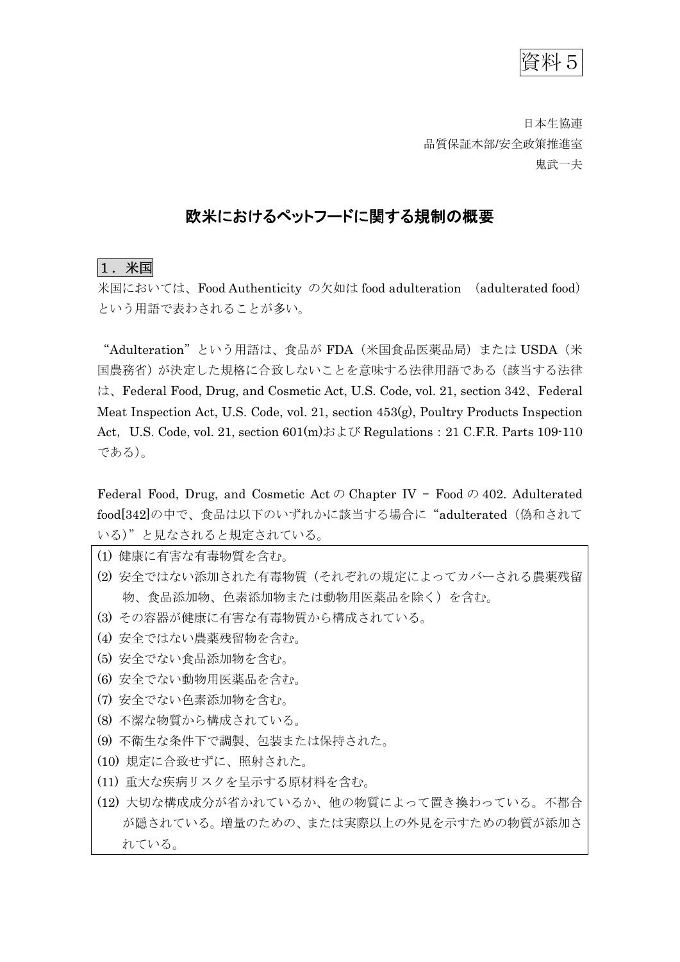資料5

日本生協連 品質保証本部/安全政策推進室 鬼武一夫

# 欧米におけるペットフードに関する規制の概要

## 1.米国

米国においては、Food Authenticity の欠如は food adulteration (adulterated food) という用語で表わされることが多い。

"Adulteration"という用語は、食品が FDA(米国食品医薬品局)または USDA(米 国農務省)が決定した規格に合致しないことを意味する法律用語である(該当する法律 は、Federal Food, Drug, and Cosmetic Act, U.S. Code, vol. 21, section 342、Federal Meat Inspection Act, U.S. Code, vol. 21, section 453(g), Poultry Products Inspection Act, U.S. Code, vol. 21, section  $601(m)$ および Regulations: 21 C.F.R. Parts 109-110 である)。

Federal Food, Drug, and Cosmetic Act  $\oslash$  Chapter IV – Food  $\oslash$  402. Adulterated food[342]の中で、食品は以下のいずれかに該当する場合に"adulterated (偽和されて いる)"と見なされると規定されている。

- (1) 健康に有害な有毒物質を含む。
- (2) 安全ではない添加された有毒物質(それぞれの規定によってカバーされる農薬残留 物、食品添加物、色素添加物または動物用医薬品を除く)を含む。
- (3) その容器が健康に有害な有毒物質から構成されている。
- (4) 安全ではない農薬残留物を含む。
- (5) 安全でない食品添加物を含む。
- (6) 安全でない動物用医薬品を含む。
- (7) 安全でない色素添加物を含む。
- (8) 不潔な物質から構成されている。
- (9) 不衛生な条件下で調製、包装または保持された。
- (10) 規定に合致せずに、照射された。
- (11) 重大な疾病リスクを呈示する原材料を含む。
- (12) 大切な構成成分が省かれているか、他の物質によって置き換わっている。不都合 が隠されている。増量のための、または実際以上の外見を示すための物質が添加さ れている。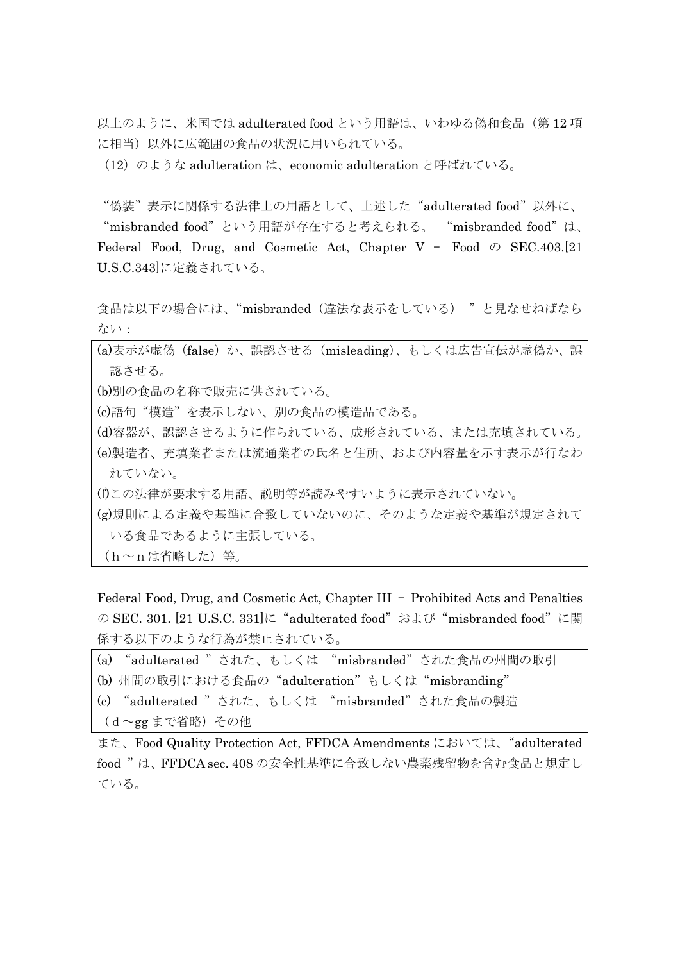以上のように、米国では adulterated food という用語は、いわゆる偽和食品(第12 項 に相当)以外に広範囲の食品の状況に用いられている。

(12)のような adulteration は、economic adulteration と呼ばれている。

"偽装"表示に関係する法律上の用語として、上述した"adulterated food"以外に、

"misbranded food"という用語が存在すると考えられる。 "misbranded food"は、 Federal Food, Drug, and Cosmetic Act, Chapter V – Food  $\oslash$  SEC.403.[21] U.S.C.343]に定義されている。

食品は以下の場合には、"misbranded(違法な表示をしている) "と見なせねばなら ない:

(a)表示が虚偽(false)か、誤認させる(misleading)、もしくは広告宣伝が虚偽か、誤 認させる。

(b)別の食品の名称で販売に供されている。

(c)語句"模造"を表示しない、別の食品の模造品である。

(d)容器が、誤認させるように作られている、成形されている、または充填されている。 (e)製造者、充填業者または流通業者の氏名と住所、および内容量を示す表示が行なわ れていない。

(f)この法律が要求する用語、説明等が読みやすいように表示されていない。

(g)規則による定義や基準に合致していないのに、そのような定義や基準が規定されて いる食品であるように主張している。

 $(h \sim n \,$ は省略した)等。

Federal Food, Drug, and Cosmetic Act, Chapter III – Prohibited Acts and Penalties の SEC. 301. [21 U.S.C. 331]に "adulterated food" および "misbranded food" に関 係する以下のような行為が禁止されている。

```
(a) "adulterated "された、もしくは "misbranded"された食品の州間の取引
(b) 州間の取引における食品の"adulteration"もしくは"misbranding"
(c) "adulterated "された、もしくは "misbranded"された食品の製造
(d~gg まで省略)その他
```
また、Food Quality Protection Act, FFDCA Amendments においては、"adulterated food "は、FFDCA sec. 408 の安全性基準に合致しない農薬残留物を含む食品と規定し ている。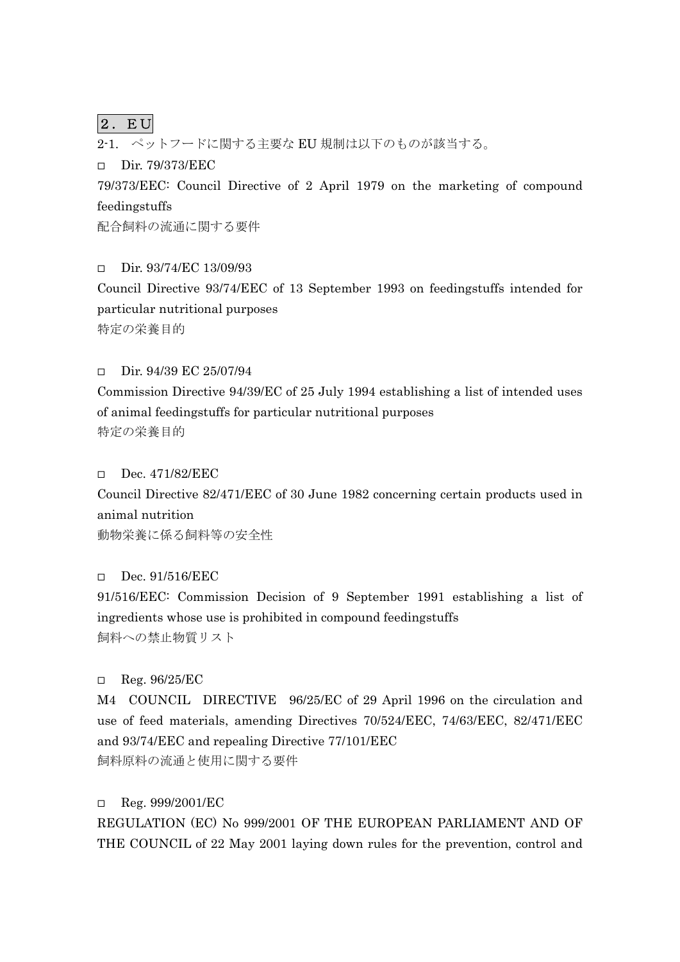# $|2.$  EU

2-1. ペットフードに関する主要な EU 規制は以下のものが該当する。

Dir. 79/373/EEC

79/373/EEC: Council Directive of 2 April 1979 on the marketing of compound feedingstuffs

配合飼料の流通に関する要件

 $Dir. 93/74/EC 13/09/93$ 

Council Directive 93/74/EEC of 13 September 1993 on feedingstuffs intended for particular nutritional purposes 特定の栄養目的

 $\Box$  Dir. 94/39 EC 25/07/94

Commission Directive 94/39/EC of 25 July 1994 establishing a list of intended uses of animal feedingstuffs for particular nutritional purposes 特定の栄養目的

#### Dec. 471/82/EEC

Council Directive 82/471/EEC of 30 June 1982 concerning certain products used in animal nutrition

動物栄養に係る飼料等の安全性

## Dec. 91/516/EEC

91/516/EEC: Commission Decision of 9 September 1991 establishing a list of ingredients whose use is prohibited in compound feedingstuffs 飼料への禁止物質リスト

## $\Box$  Reg. 96/25/EC

M4 COUNCIL DIRECTIVE 96/25/EC of 29 April 1996 on the circulation and use of feed materials, amending Directives 70/524/EEC, 74/63/EEC, 82/471/EEC and 93/74/EEC and repealing Directive 77/101/EEC 飼料原料の流通と使用に関する要件

## $\Box$  Reg. 999/2001/EC

REGULATION (EC) No 999/2001 OF THE EUROPEAN PARLIAMENT AND OF THE COUNCIL of 22 May 2001 laying down rules for the prevention, control and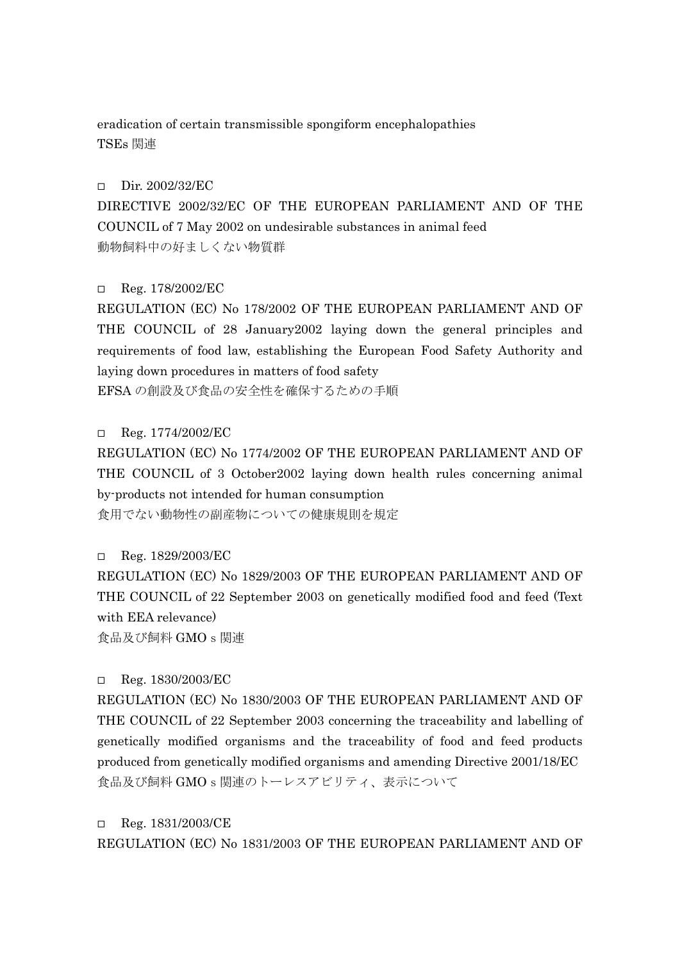eradication of certain transmissible spongiform encephalopathies TSEs 関連

#### Dir. 2002/32/EC

DIRECTIVE 2002/32/EC OF THE EUROPEAN PARLIAMENT AND OF THE COUNCIL of 7 May 2002 on undesirable substances in animal feed 動物飼料中の好ましくない物質群

## $\Box$  Reg. 178/2002/EC

REGULATION (EC) No 178/2002 OF THE EUROPEAN PARLIAMENT AND OF THE COUNCIL of 28 January2002 laying down the general principles and requirements of food law, establishing the European Food Safety Authority and laying down procedures in matters of food safety EFSA の創設及び食品の安全性を確保するための手順

 $\Box$  Reg. 1774/2002/EC

REGULATION (EC) No 1774/2002 OF THE EUROPEAN PARLIAMENT AND OF THE COUNCIL of 3 October2002 laying down health rules concerning animal by-products not intended for human consumption

食用でない動物性の副産物についての健康規則を規定

 $\Box$  Reg. 1829/2003/EC

REGULATION (EC) No 1829/2003 OF THE EUROPEAN PARLIAMENT AND OF THE COUNCIL of 22 September 2003 on genetically modified food and feed (Text with EEA relevance) 食品及び飼料 GMOs関連

## $\Box$  Reg. 1830/2003/EC

REGULATION (EC) No 1830/2003 OF THE EUROPEAN PARLIAMENT AND OF THE COUNCIL of 22 September 2003 concerning the traceability and labelling of genetically modified organisms and the traceability of food and feed products produced from genetically modified organisms and amending Directive 2001/18/EC 食品及び飼料 GMOs関連のトーレスアビリティ、表示について

 $\Box$  Reg. 1831/2003/CE

REGULATION (EC) No 1831/2003 OF THE EUROPEAN PARLIAMENT AND OF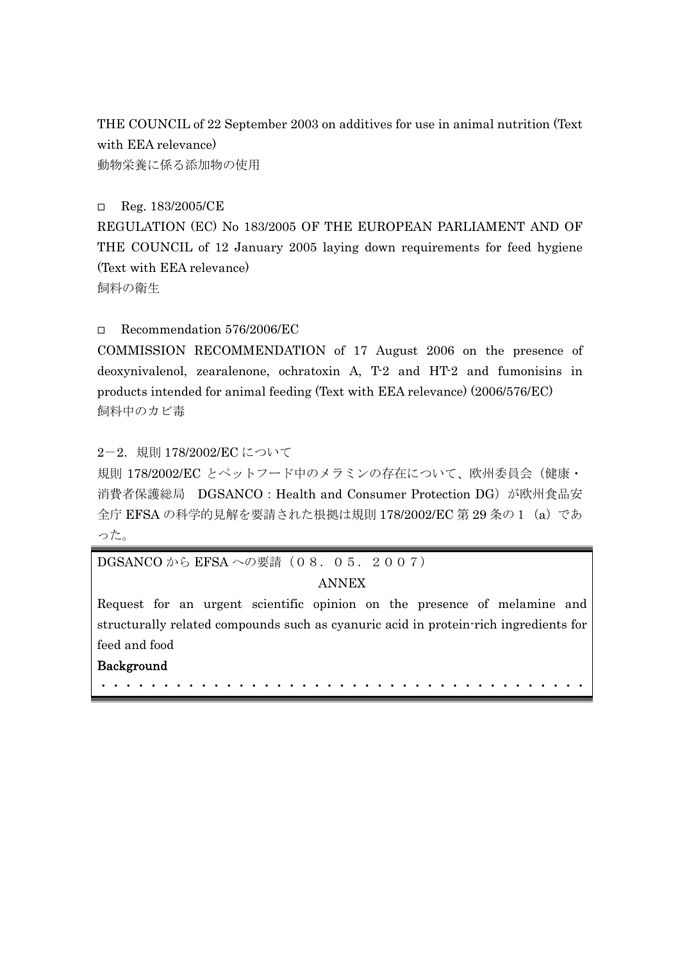THE COUNCIL of 22 September 2003 on additives for use in animal nutrition (Text with EEA relevance) 動物栄養に係る添加物の使用

□ Reg. 183/2005/CE

REGULATION (EC) No 183/2005 OF THE EUROPEAN PARLIAMENT AND OF THE COUNCIL of 12 January 2005 laying down requirements for feed hygiene (Text with EEA relevance) 飼料の衛生

Recommendation 576/2006/EC

COMMISSION RECOMMENDATION of 17 August 2006 on the presence of deoxynivalenol, zearalenone, ochratoxin A, T-2 and HT-2 and fumonisins in products intended for animal feeding (Text with EEA relevance) (2006/576/EC) 飼料中のカビ毒

2-2.規則 178/2002/EC について

規則 178/2002/EC とペットフード中のメラミンの存在について、欧州委員会(健康· 消費者保護総局 DGSANCO:Health and Consumer Protection DG)が欧州食品安 全庁 EFSA の科学的見解を要請された根拠は規則 178/2002/EC 第 29 条の 1 (a) であ った。

DGSANCO から EFSA への要請 (08.05.2007)

# ANNEX

Request for an urgent scientific opinion on the presence of melamine and structurally related compounds such as cyanuric acid in protein-rich ingredients for feed and food

・・・・・・・・・・・・・・・・・・・・・・・・・・・・・・・・・・・・・・・

# Background